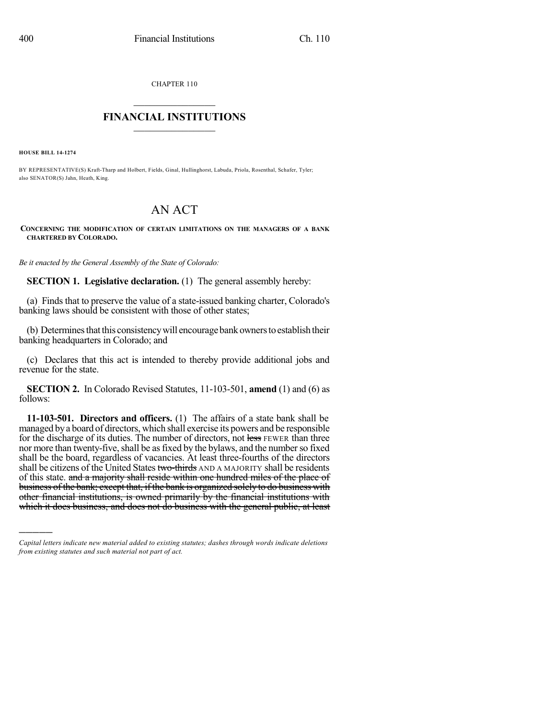CHAPTER 110

## $\overline{\phantom{a}}$  . The set of the set of the set of the set of the set of the set of the set of the set of the set of the set of the set of the set of the set of the set of the set of the set of the set of the set of the set o **FINANCIAL INSTITUTIONS**  $\frac{1}{2}$  ,  $\frac{1}{2}$  ,  $\frac{1}{2}$  ,  $\frac{1}{2}$  ,  $\frac{1}{2}$  ,  $\frac{1}{2}$  ,  $\frac{1}{2}$

**HOUSE BILL 14-1274**

)))))

BY REPRESENTATIVE(S) Kraft-Tharp and Holbert, Fields, Ginal, Hullinghorst, Labuda, Priola, Rosenthal, Schafer, Tyler; also SENATOR(S) Jahn, Heath, King.

## AN ACT

## **CONCERNING THE MODIFICATION OF CERTAIN LIMITATIONS ON THE MANAGERS OF A BANK CHARTERED BY COLORADO.**

*Be it enacted by the General Assembly of the State of Colorado:*

**SECTION 1. Legislative declaration.** (1) The general assembly hereby:

(a) Finds that to preserve the value of a state-issued banking charter, Colorado's banking laws should be consistent with those of other states;

(b) Determines that this consistency will encourage bank owners to establish their banking headquarters in Colorado; and

(c) Declares that this act is intended to thereby provide additional jobs and revenue for the state.

**SECTION 2.** In Colorado Revised Statutes, 11-103-501, **amend** (1) and (6) as follows:

**11-103-501. Directors and officers.** (1) The affairs of a state bank shall be managed bya board of directors, which shall exercise its powers and be responsible for the discharge of its duties. The number of directors, not less FEWER than three nor more than twenty-five, shall be as fixed by the bylaws, and the number so fixed shall be the board, regardless of vacancies. At least three-fourths of the directors shall be citizens of the United States two-thirds AND A MAJORITY shall be residents of this state. and a majority shall reside within one hundred miles of the place of business of the bank; except that, if the bank is organized solely to do business with other financial institutions, is owned primarily by the financial institutions with which it does business, and does not do business with the general public, at least

*Capital letters indicate new material added to existing statutes; dashes through words indicate deletions from existing statutes and such material not part of act.*